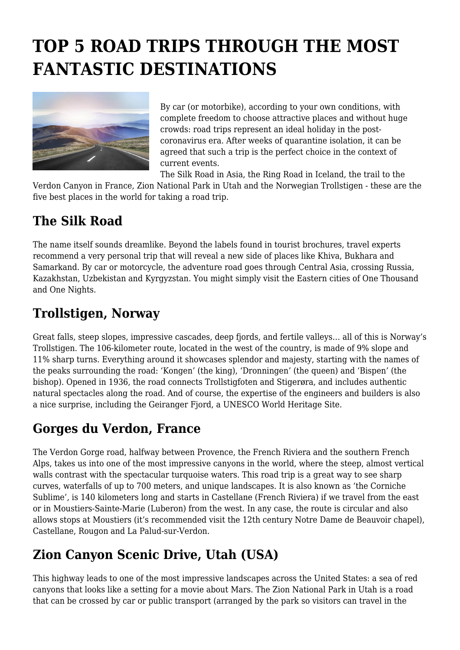# **TOP 5 ROAD TRIPS THROUGH THE MOST FANTASTIC DESTINATIONS**



By car (or motorbike), according to your own conditions, with complete freedom to choose attractive places and without huge crowds: road trips represent an ideal holiday in the postcoronavirus era. After weeks of quarantine isolation, it can be agreed that such a trip is the perfect choice in the context of current events.

The Silk Road in Asia, the Ring Road in Iceland, the trail to the Verdon Canyon in France, Zion National Park in Utah and the Norwegian Trollstigen - these are the five best places in the world for taking a road trip.

## **The Silk Road**

The name itself sounds dreamlike. Beyond the labels found in tourist brochures, travel experts recommend a very personal trip that will reveal a new side of places like Khiva, Bukhara and Samarkand. By car or motorcycle, the adventure road goes through Central Asia, crossing Russia, Kazakhstan, Uzbekistan and Kyrgyzstan. You might simply visit the Eastern cities of One Thousand and One Nights.

### **Trollstigen, Norway**

Great falls, steep slopes, impressive cascades, deep fjords, and fertile valleys… all of this is Norway's Trollstigen. The 106-kilometer route, located in the west of the country, is made of 9% slope and 11% sharp turns. Everything around it showcases splendor and majesty, starting with the names of the peaks surrounding the road: 'Kongen' (the king), 'Dronningen' (the queen) and 'Bispen' (the bishop). Opened in 1936, the road connects Trollstigfoten and Stigerøra, and includes authentic natural spectacles along the road. And of course, the expertise of the engineers and builders is also a nice surprise, including the Geiranger Fjord, a UNESCO World Heritage Site.

### **Gorges du Verdon, France**

The Verdon Gorge road, halfway between Provence, the French Riviera and the southern French Alps, takes us into one of the most impressive canyons in the world, where the steep, almost vertical walls contrast with the spectacular turquoise waters. This road trip is a great way to see sharp curves, waterfalls of up to 700 meters, and unique landscapes. It is also known as 'the Corniche Sublime', is 140 kilometers long and starts in Castellane (French Riviera) if we travel from the east or in Moustiers-Sainte-Marie (Luberon) from the west. In any case, the route is circular and also allows stops at Moustiers (it's recommended visit the 12th century Notre Dame de Beauvoir chapel), Castellane, Rougon and La Palud-sur-Verdon.

### **Zion Canyon Scenic Drive, Utah (USA)**

This highway leads to one of the most impressive landscapes across the United States: a sea of red canyons that looks like a setting for a movie about Mars. The Zion National Park in Utah is a road that can be crossed by car or public transport (arranged by the park so visitors can travel in the